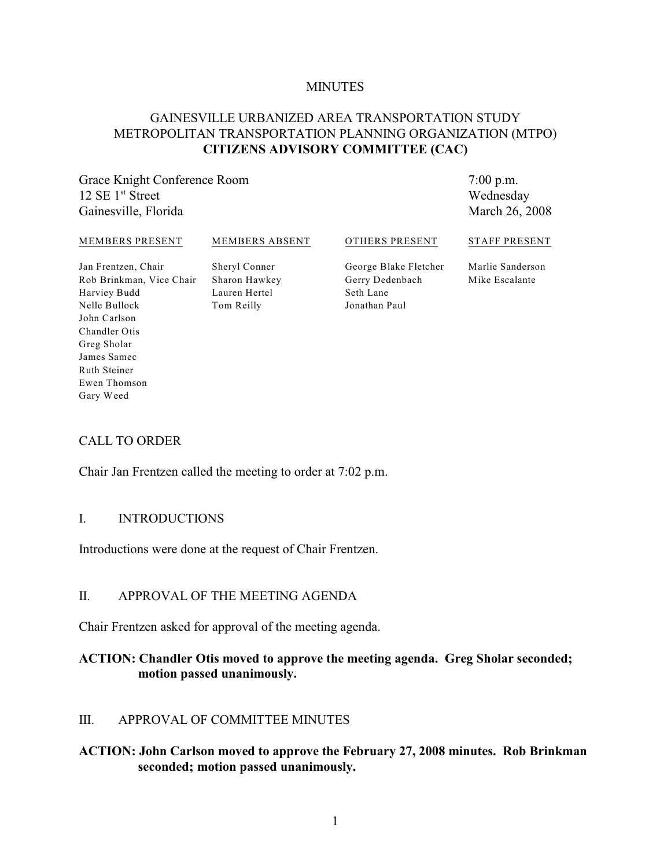#### **MINUTES**

# GAINESVILLE URBANIZED AREA TRANSPORTATION STUDY METROPOLITAN TRANSPORTATION PLANNING ORGANIZATION (MTPO) **CITIZENS ADVISORY COMMITTEE (CAC)**

Grace Knight Conference Room  $12 \text{ SE } 1^{\text{st}}$  Street Gainesville, Florida

7:00 p.m. Wednesday March 26, 2008

#### MEMBERS PRESENT

MEMBERS ABSENT

OTHERS PRESENT

STAFF PRESENT

Jan Frentzen, Chair Rob Brinkman, Vice Chair Harviey Budd Nelle Bullock John Carlson Chandler Otis Greg Sholar James Samec Ruth Steiner Ewen Thomson Gary Weed

Sheryl Conner Sharon Hawkey Lauren Hertel Tom Reilly

George Blake Fletcher Gerry Dedenbach Seth Lane Jonathan Paul

Marlie Sanderson Mike Escalante

### CALL TO ORDER

Chair Jan Frentzen called the meeting to order at 7:02 p.m.

### I. INTRODUCTIONS

Introductions were done at the request of Chair Frentzen.

#### II. APPROVAL OF THE MEETING AGENDA

Chair Frentzen asked for approval of the meeting agenda.

### **ACTION: Chandler Otis moved to approve the meeting agenda. Greg Sholar seconded; motion passed unanimously.**

#### III. APPROVAL OF COMMITTEE MINUTES

### **ACTION: John Carlson moved to approve the February 27, 2008 minutes. Rob Brinkman seconded; motion passed unanimously.**

1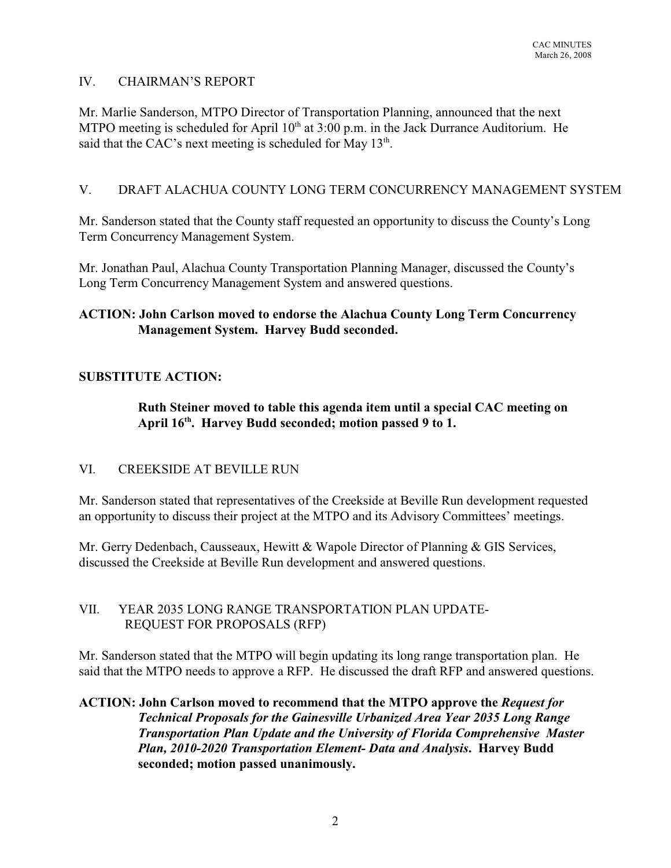# IV. CHAIRMAN'S REPORT

Mr. Marlie Sanderson, MTPO Director of Transportation Planning, announced that the next MTPO meeting is scheduled for April  $10<sup>th</sup>$  at  $3:00$  p.m. in the Jack Durrance Auditorium. He said that the CAC's next meeting is scheduled for May  $13<sup>th</sup>$ .

### V. DRAFT ALACHUA COUNTY LONG TERM CONCURRENCY MANAGEMENT SYSTEM

Mr. Sanderson stated that the County staff requested an opportunity to discuss the County's Long Term Concurrency Management System.

Mr. Jonathan Paul, Alachua County Transportation Planning Manager, discussed the County's Long Term Concurrency Management System and answered questions.

# **ACTION: John Carlson moved to endorse the Alachua County Long Term Concurrency Management System. Harvey Budd seconded.**

# **SUBSTITUTE ACTION:**

**Ruth Steiner moved to table this agenda item until a special CAC meeting on** April 16<sup>th</sup>. Harvey Budd seconded; motion passed 9 to 1.

### VI. CREEKSIDE AT BEVILLE RUN

Mr. Sanderson stated that representatives of the Creekside at Beville Run development requested an opportunity to discuss their project at the MTPO and its Advisory Committees' meetings.

Mr. Gerry Dedenbach, Causseaux, Hewitt & Wapole Director of Planning & GIS Services, discussed the Creekside at Beville Run development and answered questions.

### VII. YEAR 2035 LONG RANGE TRANSPORTATION PLAN UPDATE- REQUEST FOR PROPOSALS (RFP)

Mr. Sanderson stated that the MTPO will begin updating its long range transportation plan. He said that the MTPO needs to approve a RFP. He discussed the draft RFP and answered questions.

# **ACTION: John Carlson moved to recommend that the MTPO approve the** *Request for Technical Proposals for the Gainesville Urbanized Area Year 2035 Long Range Transportation Plan Update and the University of Florida Comprehensive Master Plan, 2010-2020 Transportation Element- Data and Analysis***. Harvey Budd seconded; motion passed unanimously.**